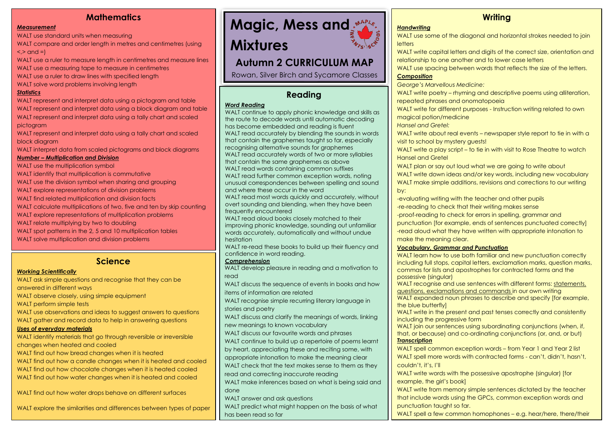## **Mathematics**

#### *Measurement*

WALT use standard units when measuring

WALT compare and order length in metres and centimetres (using  $\le$   $>$  and  $=$ )

WALT use a ruler to measure length in centimetres and measure lines WALT use a measuring tape to measure in centimetres

- WALT use a ruler to draw lines with specified length
- WALT solve word problems involving length

#### *Statistics*

WALT represent and interpret data using a pictogram and table WALT represent and interpret data using a block diagram and table WALT represent and interpret data using a tally chart and scaled pictogram

WALT represent and interpret data using a tally chart and scaled block diagram

WALT interpret data from scaled pictograms and block diagrams

#### *Number – Multiplication and Division*

WALT use the multiplication symbol WALT identify that multiplication is commutative WALT use the division symbol when sharing and grouping WALT explore representations of division problems WALT find related multiplication and division facts WALT calculate multiplications of two, five and ten by skip counting WALT explore representations of multiplication problems WALT relate multiplying by two to doubling WALT spot patterns in the 2, 5 and 10 multiplication tables WALT solve multiplication and division problems

### **Science**

#### *Working Scientifically*

WALT ask simple questions and recognise that they can be answered in different ways WALT observe closely, using simple equipment WALT perform simple tests

WALT use observations and ideas to suggest answers to questions

WALT gather and record data to help in answering questions

#### *Uses of everyday materials*

WALT identify materials that go through reversible or irreversible changes when heated and cooled

WALT find out how bread changes when it is heated

WALT find out how a candle changes when it is heated and cooled WALT find out how chocolate changes when it is heated cooled WALT find out how water changes when it is heated and cooled

WALT find out how water drops behave on different surfaces

WALT explore the similarities and differences between types of paper



# **Mixtures**

## **Autumn 2 CURRICULUM MAP**

Rowan, Silver Birch and Sycamore Classes

## **Reading**

#### *Word Reading*

WALT continue to apply phonic knowledge and skills as the route to decode words until automatic decoding has become embedded and reading is fluent WALT read accurately by blending the sounds in words that contain the graphemes taught so far, especially recognising alternative sounds for graphemes WALT read accurately words of two or more syllables that contain the same graphemes as above WALT read words containing common suffixes WALT read further common exception words, noting unusual correspondences between spelling and sound and where these occur in the word WALT read most words quickly and accurately, without

overt sounding and blending, when they have been frequently encountered

WALT read aloud books closely matched to their improving phonic knowledge, sounding out unfamiliar words accurately, automatically and without undue hesitation

WALT re-read these books to build up their fluency and confidence in word reading.

#### *Comprehension*

WALT develop pleasure in reading and a motivation to read

WALT discuss the sequence of events in books and how items of information are related

WALT recognise simple recurring literary language in stories and poetry

WALT discuss and clarify the meanings of words, linking new meanings to known vocabulary

WALT discuss our favourite words and phrases

WALT continue to build up a repertoire of poems learnt

by heart, appreciating these and reciting some, with

appropriate intonation to make the meaning clear

WALT check that the text makes sense to them as they

read and correcting inaccurate reading

WALT make inferences based on what is being said and done

WALT answer and ask questions

WALT predict what might happen on the basis of what has been read so far

## **Writing**

#### *Handwriting*

WALT use some of the diagonal and horizontal strokes needed to join letters

WALT write capital letters and digits of the correct size, orientation and relationship to one another and to lower case letters

WALT use spacing between words that reflects the size of the letters.

#### *Composition*

*George's Marvellous Medicine:* 

WALT write poetry – rhyming and descriptive poems using alliteration, repeated phrases and onomatopoeia

WALT write for different purposes - Instruction writing related to own magical potion/medicine

*Hansel and Gretel:*

WALT write about real events – newspaper style report to tie in with a visit to school by mystery guests!

WALT write a play script – to tie in with visit to Rose Theatre to watch Hansel and Gretel

WALT plan or say out loud what we are going to write about WALT write down ideas and/or key words, including new vocabulary WALT make simple additions, revisions and corrections to our writing by:

-evaluating writing with the teacher and other pupils

-re-reading to check that their writing makes sense

-proof-reading to check for errors in spelling, grammar and

punctuation [for example, ends of sentences punctuated correctly] -read aloud what they have written with appropriate intonation to make the meaning clear.

#### *Vocabulary, Grammar and Punctuation*

WALT learn how to use both familiar and new punctuation correctly including full stops, capital letters, exclamation marks, question marks, commas for lists and apostrophes for contracted forms and the possessive (singular)

WALT recognise and use sentences with different forms: statements, questions, exclamations and commands in our own writing

WALT expanded noun phrases to describe and specify [for example, the blue butterfly]

WALT write in the present and past tenses correctly and consistently including the progressive form

WALT join our sentences using subordinating conjunctions (when, if, that, or because) and co-ordinating conjunctions (or, and, or but) *Transcription*

WALT spell common exception words – from Year 1 and Year 2 list WALT spell more words with contracted forms - can't, didn't, hasn't, couldn't, it's, I'll

WALT write words with the possessive apostrophe (singular) [for example, the girl's book]

WALT write from memory simple sentences dictated by the teacher that include words using the GPCs, common exception words and punctuation taught so far.

WALT spell a few common homophones - e.g. hear/here, there/their